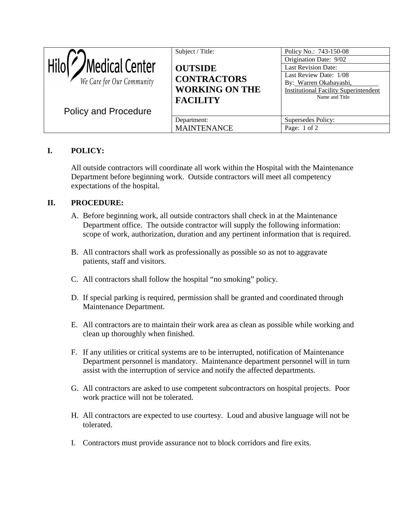| Medical Center<br>We Care for Our Community<br><b>Policy and Procedure</b> | Subject / Title:<br><b>OUTSIDE</b><br><b>CONTRACTORS</b><br><b>WORKING ON THE</b><br><b>FACILITY</b> | Policy No.: 743-150-08<br>Origination Date: 9/02<br><b>Last Revision Date:</b><br>Last Review Date: 1/08<br>By: Warren Okabayashi,<br><b>Institutional Facility Superintendent</b><br>Name and Title |
|----------------------------------------------------------------------------|------------------------------------------------------------------------------------------------------|------------------------------------------------------------------------------------------------------------------------------------------------------------------------------------------------------|
|                                                                            | Department:<br><b>MAINTENANCE</b>                                                                    | Supersedes Policy:<br>Page: $1 \text{ of } 2$                                                                                                                                                        |

## **I. POLICY:**

All outside contractors will coordinate all work within the Hospital with the Maintenance Department before beginning work. Outside contractors will meet all competency expectations of the hospital.

## **II. PROCEDURE:**

- A. Before beginning work, all outside contractors shall check in at the Maintenance Department office. The outside contractor will supply the following information: scope of work, authorization, duration and any pertinent information that is required.
- B. All contractors shall work as professionally as possible so as not to aggravate patients, staff and visitors.
- C. All contractors shall follow the hospital "no smoking" policy.
- D. If special parking is required, permission shall be granted and coordinated through Maintenance Department.
- E. All contractors are to maintain their work area as clean as possible while working and clean up thoroughly when finished.
- F. If any utilities or critical systems are to be interrupted, notification of Maintenance Department personnel is mandatory. Maintenance department personnel will in turn assist with the interruption of service and notify the affected departments.
- G. All contractors are asked to use competent subcontractors on hospital projects. Poor work practice will not be tolerated.
- H. All contractors are expected to use courtesy. Loud and abusive language will not be tolerated.
- I. Contractors must provide assurance not to block corridors and fire exits.